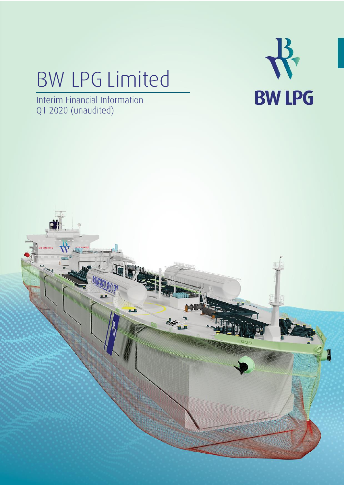# BW LPG Limited



Interim Financial Information Q1 2020 (unaudited)

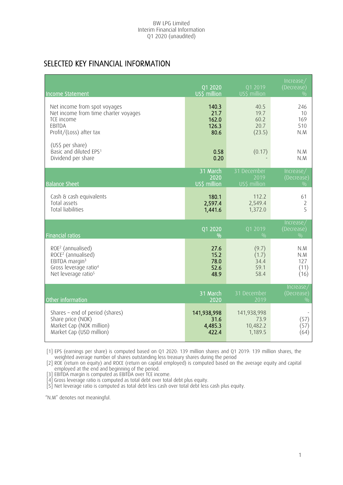# SELECTED KEY FINANCIAL INFORMATION

| Income Statement                                                                                                                                                      | Q1 2020<br>US\$ million                 | Q1 2019<br>US\$ million                    | Increase/<br>(Decrease)<br>0/0           |
|-----------------------------------------------------------------------------------------------------------------------------------------------------------------------|-----------------------------------------|--------------------------------------------|------------------------------------------|
| Net income from spot voyages<br>Net income from time charter voyages<br>TCE income<br>EBITDA<br>Profit/(Loss) after tax                                               | 140.3<br>21.7<br>162.0<br>126.3<br>80.6 | 40.5<br>19.7<br>60.2<br>20.7<br>(23.5)     | 246<br>10<br>169<br>510<br>N.M           |
| (US\$ per share)<br>Basic and diluted EPS1<br>Dividend per share                                                                                                      | 0.58<br>0.20                            | (0.17)                                     | N.M<br>N.M                               |
| <b>Balance Sheet</b>                                                                                                                                                  | 31 March<br>2020<br>US\$ million        | 31 December<br>2019<br>US\$ million        | Increase/<br>(Decrease)<br>0/0           |
| Cash & cash equivalents<br>Total assets<br><b>Total liabilities</b>                                                                                                   | 180.1<br>2,597.4<br>1,441.6             | 112.2<br>2,549.4<br>1,372.0                | 61<br>2<br>5                             |
| <b>Financial ratios</b>                                                                                                                                               | Q1 2020<br>$\frac{0}{0}$                | Q1 2019<br>$\frac{0}{0}$                   | Increase/<br>(Decrease)<br>0/0           |
| ROE <sup>2</sup> (annualised)<br>ROCE <sup>2</sup> (annualised)<br>EBITDA margin <sup>3</sup><br>Gross leverage ratio <sup>4</sup><br>Net leverage ratio <sup>5</sup> | 27.6<br>15.2<br>78.0<br>52.6<br>48.9    | (9.7)<br>(1.7)<br>34.4<br>59.1<br>58.4     | N.M<br>N.M<br>127<br>(11)<br>(16)        |
| Other information                                                                                                                                                     | 31 March<br>2020                        | 31 December<br>2019                        | Increase,<br>(Decrease)<br>$\frac{0}{0}$ |
| Shares - end of period (shares)<br>Share price (NOK)<br>Market Cap (NOK million)<br>Market Cap (USD million)                                                          | 141,938,998<br>31.6<br>4,485.3<br>422.4 | 141,938,998<br>73.9<br>10,482.2<br>1,189.5 | (57)<br>(57)<br>(64)                     |

[1] EPS (earnings per share) is computed based on Q1 2020: 139 million shares and Q1 2019: 139 million shares, the weighted average number of shares outstanding less treasury shares during the period

[2] ROE (return on equity) and ROCE (return on capital employed) is computed based on the average equity and capital employed at the end and beginning of the period.

[3] EBITDA margin is computed as EBITDA over TCE income.

[4] Gross leverage ratio is computed as total debt over total debt plus equity.

[5] Net leverage ratio is computed as total debt less cash over total debt less cash plus equity.

"N.M" denotes not meaningful.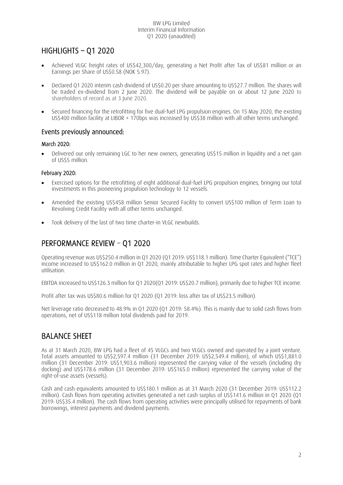# HIGHLIGHTS – Q1 2020

- Achieved VLGC freight rates of US\$42,300/day, generating a Net Profit after Tax of US\$81 million or an Earnings per Share of US\$0.58 (NOK 5.97).
- Declared Q1 2020 interim cash dividend of US\$0.20 per share amounting to US\$27.7 million. The shares will be traded ex-dividend from 2 June 2020. The dividend will be payable on or about 12 June 2020 to shareholders of record as at 3 June 2020.
- Secured financing for the retrofitting for five dual-fuel LPG propulsion engines. On 15 May 2020, the existing US\$400 million facility at LIBOR + 170bps was increased by US\$38 million with all other terms unchanged.

## Events previously announced:

## March 2020:

• Delivered our only remaining LGC to her new owners, generating US\$15 million in liquidity and a net gain of US\$5 million.

## February 2020:

- Exercised options for the retrofitting of eight additional dual-fuel LPG propulsion engines, bringing our total investments in this pioneering propulsion technology to 12 vessels.
- Amended the existing US\$458 million Senior Secured Facility to convert US\$100 million of Term Loan to Revolving Credit Facility with all other terms unchanged.
- Took delivery of the last of two time charter-in VLGC newbuilds.

# PERFORMANCE REVIEW – Q1 2020

Operating revenue was US\$250.4 million in Q1 2020 (Q1 2019: US\$118.1 million). Time Charter Equivalent ("TCE") income increased to US\$162.0 million in Q1 2020, mainly attributable to higher LPG spot rates and higher fleet utilisation.

EBITDA increased to US\$126.3 million for Q1 2020(Q1 2019: US\$20.7 million), primarily due to higher TCE income.

Profit after tax was US\$80.6 million for Q1 2020 (Q1 2019: loss after tax of US\$23.5 million).

Net leverage ratio decreased to 48.9% in Q1 2020 (Q1 2019: 58.4%). This is mainly due to solid cash flows from operations, net of US\$118 million total dividends paid for 2019.

# BALANCE SHEET

As at 31 March 2020, BW LPG had a fleet of 45 VLGCs and two VLGCs owned and operated by a joint venture. Total assets amounted to US\$2,597.4 million (31 December 2019: US\$2,549.4 million), of which US\$1,881.0 million (31 December 2019: US\$1,903.6 million) represented the carrying value of the vessels (including dry docking) and US\$178.6 million (31 December 2019: US\$165.0 million) represented the carrying value of the right-of-use assets (vessels).

Cash and cash equivalents amounted to US\$180.1 million as at 31 March 2020 (31 December 2019: US\$112.2 million). Cash flows from operating activities generated a net cash surplus of US\$141.6 million in Q1 2020 (Q1 2019: US\$35.4 million). The cash flows from operating activities were principally utilised for repayments of bank borrowings, interest payments and dividend payments.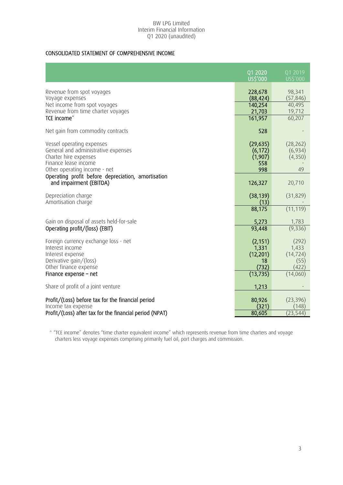## CONSOLIDATED STATEMENT OF COMPREHENSIVE INCOME

| Q1 2020<br>Q1 2019<br><b>US\$'000</b><br>US\$'000<br>Revenue from spot voyages<br>228,678<br>98,341<br>Voyage expenses<br>(88, 424)<br>(57, 846)<br>140,254<br>Net income from spot voyages<br>40,495<br>Revenue from time charter voyages<br>21,703<br>19,712<br>TCE income <sup>^</sup><br>161,957<br>60,207<br>Net gain from commodity contracts<br>528<br>(29, 635)<br>Vessel operating expenses<br>(28, 262)<br>General and administrative expenses<br>(6,934)<br>(6, 172)<br>Charter hire expenses<br>(1,907)<br>(4,350)<br>Finance lease income<br>558<br>998<br>Other operating income - net<br>49<br>Operating profit before depreciation, amortisation<br>and impairment (EBITDA)<br>126,327<br>20,710<br>(38, 139)<br>Depreciation charge<br>(31, 829)<br>Amortisation charge<br>(13)<br>88,175<br>(11, 119)<br>Gain on disposal of assets held-for-sale<br>5,273<br>1,783<br>93,448<br>(9, 336)<br>Operating profit/(loss) (EBIT)<br>Foreign currency exchange loss - net<br>(2, 151)<br>(292)<br>Interest income<br>1,331<br>1,433<br>(12, 201)<br>(14, 724)<br>Interest expense<br>Derivative gain/(loss)<br>18<br>(55)<br>Other finance expense<br>(732)<br>(422)<br>(13, 735)<br>Finance expense - net<br>(14,060)<br>Share of profit of a joint venture<br>1,213<br>Profit/(Loss) before tax for the financial period<br>80,926<br>(23, 396)<br>Income tax expense<br>(321)<br>(148) |                                                         |        |           |
|-------------------------------------------------------------------------------------------------------------------------------------------------------------------------------------------------------------------------------------------------------------------------------------------------------------------------------------------------------------------------------------------------------------------------------------------------------------------------------------------------------------------------------------------------------------------------------------------------------------------------------------------------------------------------------------------------------------------------------------------------------------------------------------------------------------------------------------------------------------------------------------------------------------------------------------------------------------------------------------------------------------------------------------------------------------------------------------------------------------------------------------------------------------------------------------------------------------------------------------------------------------------------------------------------------------------------------------------------------------------------------------------------------|---------------------------------------------------------|--------|-----------|
|                                                                                                                                                                                                                                                                                                                                                                                                                                                                                                                                                                                                                                                                                                                                                                                                                                                                                                                                                                                                                                                                                                                                                                                                                                                                                                                                                                                                       |                                                         |        |           |
|                                                                                                                                                                                                                                                                                                                                                                                                                                                                                                                                                                                                                                                                                                                                                                                                                                                                                                                                                                                                                                                                                                                                                                                                                                                                                                                                                                                                       |                                                         |        |           |
|                                                                                                                                                                                                                                                                                                                                                                                                                                                                                                                                                                                                                                                                                                                                                                                                                                                                                                                                                                                                                                                                                                                                                                                                                                                                                                                                                                                                       |                                                         |        |           |
|                                                                                                                                                                                                                                                                                                                                                                                                                                                                                                                                                                                                                                                                                                                                                                                                                                                                                                                                                                                                                                                                                                                                                                                                                                                                                                                                                                                                       |                                                         |        |           |
|                                                                                                                                                                                                                                                                                                                                                                                                                                                                                                                                                                                                                                                                                                                                                                                                                                                                                                                                                                                                                                                                                                                                                                                                                                                                                                                                                                                                       |                                                         |        |           |
|                                                                                                                                                                                                                                                                                                                                                                                                                                                                                                                                                                                                                                                                                                                                                                                                                                                                                                                                                                                                                                                                                                                                                                                                                                                                                                                                                                                                       |                                                         |        |           |
|                                                                                                                                                                                                                                                                                                                                                                                                                                                                                                                                                                                                                                                                                                                                                                                                                                                                                                                                                                                                                                                                                                                                                                                                                                                                                                                                                                                                       |                                                         |        |           |
|                                                                                                                                                                                                                                                                                                                                                                                                                                                                                                                                                                                                                                                                                                                                                                                                                                                                                                                                                                                                                                                                                                                                                                                                                                                                                                                                                                                                       |                                                         |        |           |
|                                                                                                                                                                                                                                                                                                                                                                                                                                                                                                                                                                                                                                                                                                                                                                                                                                                                                                                                                                                                                                                                                                                                                                                                                                                                                                                                                                                                       |                                                         |        |           |
|                                                                                                                                                                                                                                                                                                                                                                                                                                                                                                                                                                                                                                                                                                                                                                                                                                                                                                                                                                                                                                                                                                                                                                                                                                                                                                                                                                                                       |                                                         |        |           |
|                                                                                                                                                                                                                                                                                                                                                                                                                                                                                                                                                                                                                                                                                                                                                                                                                                                                                                                                                                                                                                                                                                                                                                                                                                                                                                                                                                                                       |                                                         |        |           |
|                                                                                                                                                                                                                                                                                                                                                                                                                                                                                                                                                                                                                                                                                                                                                                                                                                                                                                                                                                                                                                                                                                                                                                                                                                                                                                                                                                                                       |                                                         |        |           |
|                                                                                                                                                                                                                                                                                                                                                                                                                                                                                                                                                                                                                                                                                                                                                                                                                                                                                                                                                                                                                                                                                                                                                                                                                                                                                                                                                                                                       |                                                         |        |           |
|                                                                                                                                                                                                                                                                                                                                                                                                                                                                                                                                                                                                                                                                                                                                                                                                                                                                                                                                                                                                                                                                                                                                                                                                                                                                                                                                                                                                       |                                                         |        |           |
|                                                                                                                                                                                                                                                                                                                                                                                                                                                                                                                                                                                                                                                                                                                                                                                                                                                                                                                                                                                                                                                                                                                                                                                                                                                                                                                                                                                                       |                                                         |        |           |
|                                                                                                                                                                                                                                                                                                                                                                                                                                                                                                                                                                                                                                                                                                                                                                                                                                                                                                                                                                                                                                                                                                                                                                                                                                                                                                                                                                                                       |                                                         |        |           |
|                                                                                                                                                                                                                                                                                                                                                                                                                                                                                                                                                                                                                                                                                                                                                                                                                                                                                                                                                                                                                                                                                                                                                                                                                                                                                                                                                                                                       |                                                         |        |           |
|                                                                                                                                                                                                                                                                                                                                                                                                                                                                                                                                                                                                                                                                                                                                                                                                                                                                                                                                                                                                                                                                                                                                                                                                                                                                                                                                                                                                       |                                                         |        |           |
|                                                                                                                                                                                                                                                                                                                                                                                                                                                                                                                                                                                                                                                                                                                                                                                                                                                                                                                                                                                                                                                                                                                                                                                                                                                                                                                                                                                                       |                                                         |        |           |
|                                                                                                                                                                                                                                                                                                                                                                                                                                                                                                                                                                                                                                                                                                                                                                                                                                                                                                                                                                                                                                                                                                                                                                                                                                                                                                                                                                                                       |                                                         |        |           |
|                                                                                                                                                                                                                                                                                                                                                                                                                                                                                                                                                                                                                                                                                                                                                                                                                                                                                                                                                                                                                                                                                                                                                                                                                                                                                                                                                                                                       |                                                         |        |           |
|                                                                                                                                                                                                                                                                                                                                                                                                                                                                                                                                                                                                                                                                                                                                                                                                                                                                                                                                                                                                                                                                                                                                                                                                                                                                                                                                                                                                       |                                                         |        |           |
|                                                                                                                                                                                                                                                                                                                                                                                                                                                                                                                                                                                                                                                                                                                                                                                                                                                                                                                                                                                                                                                                                                                                                                                                                                                                                                                                                                                                       |                                                         |        |           |
|                                                                                                                                                                                                                                                                                                                                                                                                                                                                                                                                                                                                                                                                                                                                                                                                                                                                                                                                                                                                                                                                                                                                                                                                                                                                                                                                                                                                       |                                                         |        |           |
|                                                                                                                                                                                                                                                                                                                                                                                                                                                                                                                                                                                                                                                                                                                                                                                                                                                                                                                                                                                                                                                                                                                                                                                                                                                                                                                                                                                                       |                                                         |        |           |
|                                                                                                                                                                                                                                                                                                                                                                                                                                                                                                                                                                                                                                                                                                                                                                                                                                                                                                                                                                                                                                                                                                                                                                                                                                                                                                                                                                                                       |                                                         |        |           |
|                                                                                                                                                                                                                                                                                                                                                                                                                                                                                                                                                                                                                                                                                                                                                                                                                                                                                                                                                                                                                                                                                                                                                                                                                                                                                                                                                                                                       |                                                         |        |           |
|                                                                                                                                                                                                                                                                                                                                                                                                                                                                                                                                                                                                                                                                                                                                                                                                                                                                                                                                                                                                                                                                                                                                                                                                                                                                                                                                                                                                       |                                                         |        |           |
|                                                                                                                                                                                                                                                                                                                                                                                                                                                                                                                                                                                                                                                                                                                                                                                                                                                                                                                                                                                                                                                                                                                                                                                                                                                                                                                                                                                                       |                                                         |        |           |
|                                                                                                                                                                                                                                                                                                                                                                                                                                                                                                                                                                                                                                                                                                                                                                                                                                                                                                                                                                                                                                                                                                                                                                                                                                                                                                                                                                                                       |                                                         |        |           |
|                                                                                                                                                                                                                                                                                                                                                                                                                                                                                                                                                                                                                                                                                                                                                                                                                                                                                                                                                                                                                                                                                                                                                                                                                                                                                                                                                                                                       |                                                         |        |           |
|                                                                                                                                                                                                                                                                                                                                                                                                                                                                                                                                                                                                                                                                                                                                                                                                                                                                                                                                                                                                                                                                                                                                                                                                                                                                                                                                                                                                       |                                                         |        |           |
|                                                                                                                                                                                                                                                                                                                                                                                                                                                                                                                                                                                                                                                                                                                                                                                                                                                                                                                                                                                                                                                                                                                                                                                                                                                                                                                                                                                                       | Profit/(Loss) after tax for the financial period (NPAT) | 80,605 | (23, 544) |

^ "TCE income" denotes "time charter equivalent income" which represents revenue from time charters and voyage charters less voyage expenses comprising primarily fuel oil, port charges and commission.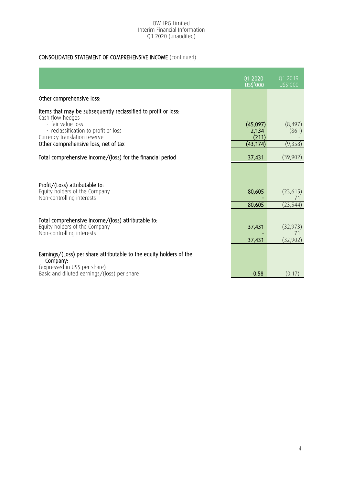## CONSOLIDATED STATEMENT OF COMPREHENSIVE INCOME (continued)

|                                                                                                                                                                                 | Q1 2020<br>US\$'000        | 01 2019<br>US\$'000                 |
|---------------------------------------------------------------------------------------------------------------------------------------------------------------------------------|----------------------------|-------------------------------------|
| Other comprehensive loss:                                                                                                                                                       |                            |                                     |
| Items that may be subsequently reclassified to profit or loss:<br>Cash flow hedges<br>- fair value loss<br>- reclassification to profit or loss<br>Currency translation reserve | (45,097)<br>2,134<br>(211) | (8, 497)<br>(861)                   |
| Other comprehensive loss, net of tax                                                                                                                                            | (43,174)                   | (9,358)                             |
| Total comprehensive income/(loss) for the financial period                                                                                                                      | 37,431                     | (39, 902)                           |
| Profit/(Loss) attributable to:<br>Equity holders of the Company<br>Non-controlling interests                                                                                    | 80,605<br>80,605           | (23, 615)<br>71<br>(23, 544)        |
| Total comprehensive income/(loss) attributable to:<br>Equity holders of the Company<br>Non-controlling interests                                                                | 37,431<br>37,431           | (32, 973)<br>$\sqrt{1}$<br>(32,902) |
| Earnings/(Loss) per share attributable to the equity holders of the<br>Company:<br>(expressed in US\$ per share)<br>Basic and diluted earnings/(loss) per share                 | 0.58                       | (0.17)                              |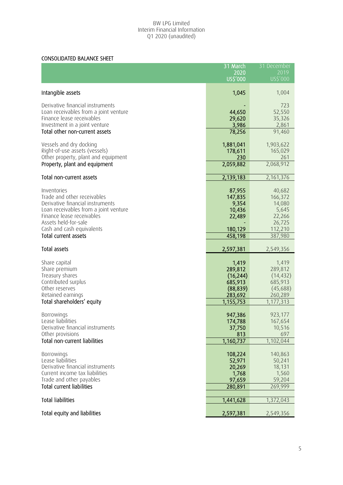## CONSOLIDATED BALANCE SHEET

|                                                            | 31 March             | 31 December          |
|------------------------------------------------------------|----------------------|----------------------|
|                                                            | 2020<br>US\$'000     | 2019<br>US\$'000     |
|                                                            |                      |                      |
| Intangible assets                                          | 1,045                | 1,004                |
| Derivative financial instruments                           |                      | 723                  |
| Loan receivables from a joint venture                      | 44,650               | 52,550               |
| Finance lease receivables                                  | 29,620               | 35,326               |
| Investment in a joint venture                              | 3,986                | 2,861                |
| Total other non-current assets                             | 78,256               | 91,460               |
| Vessels and dry docking                                    | 1,881,041            | 1,903,622            |
| Right-of-use assets (vessels)                              | 178,611              | 165,029              |
| Other property, plant and equipment                        | 230                  | 261                  |
| Property, plant and equipment                              | 2,059,882            | 2,068,912            |
| Total non-current assets                                   | 2,139,183            | 2,161,376            |
| Inventories                                                | 87,955               | 40,682               |
| Trade and other receivables                                | 147,835              | 166,372              |
| Derivative financial instruments                           | 9,354                | 14,080               |
| Loan receivables from a joint venture                      | 10,436               | 5,645                |
| Finance lease receivables                                  | 22,489               | 22,266               |
| Assets held-for-sale                                       |                      | 26,725               |
| Cash and cash equivalents<br>Total current assets          | 180,129<br>458,198   | 112,210<br>387,980   |
|                                                            |                      |                      |
| Total assets                                               | 2,597,381            | 2,549,356            |
| Share capital                                              | 1,419                | 1,419                |
| Share premium                                              | 289,812              | 289,812              |
| Treasury shares                                            | (16, 244)            | (14, 432)            |
| Contributed surplus                                        | 685,913              | 685,913              |
| Other reserves                                             | (88, 839)            | (45,688)             |
| Retained earnings<br>Total shareholders' equity            | 283,692<br>1,155,753 | 260,289<br>1,177,313 |
|                                                            |                      |                      |
| Borrowings                                                 | 947,386              | 923,177              |
| Lease liabilities                                          | 174,788              | 167,654              |
| Derivative financial instruments                           | 37,750               | 10,516               |
| Other provisions<br>Total non-current liabilities          | 813<br>1,160,737     | 697<br>1,102,044     |
|                                                            |                      |                      |
| Borrowings                                                 | 108,224              | 140,863              |
| Lease liabilities                                          | 52,971               | 50,241               |
| Derivative financial instruments                           | 20,269               | 18,131               |
| Current income tax liabilities<br>Trade and other payables | 1,768<br>97,659      | 1,560<br>59,204      |
| <b>Total current liabilities</b>                           | 280,891              | 269,999              |
|                                                            |                      |                      |
| <b>Total liabilities</b>                                   | 1,441,628            | 1,372,043            |
|                                                            |                      |                      |
| Total equity and liabilities                               | 2,597,381            | 2,549,356            |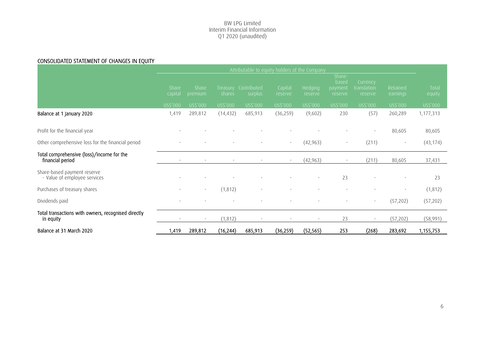## CONSOLIDATED STATEMENT OF CHANGES IN EQUITY

|                                                                  |                          |                  |                          | Attributable to equity holders of the Company |                    |                          |                                       |                                     |                      |                 |
|------------------------------------------------------------------|--------------------------|------------------|--------------------------|-----------------------------------------------|--------------------|--------------------------|---------------------------------------|-------------------------------------|----------------------|-----------------|
|                                                                  | Share<br>capital         | Share<br>premium | Treasury<br>shares       | Contributed<br>surplus                        | Capital<br>reserve | Hedging<br>reserve       | Share-<br>based<br>payment<br>reserve | Currency,<br>translation<br>reserve | Retained<br>earnings | Total<br>equity |
|                                                                  | US\$'000                 | US\$'000         | US\$'000                 | US\$'000                                      | US\$'000           | US\$'000                 | US\$'000                              | US\$'000                            | US\$'000             | US\$'000        |
| Balance at 1 January 2020                                        | 1,419                    | 289,812          | (14, 432)                | 685,913                                       | (36, 259)          | (9,602)                  | 230                                   | (57)                                | 260,289              | 1,177,313       |
| Profit for the financial year                                    |                          |                  |                          |                                               |                    |                          |                                       | ٠                                   | 80,605               | 80,605          |
| Other comprehensive loss for the financial period                |                          |                  |                          |                                               | $\sim$             | (42, 963)                |                                       | (211)                               |                      | (43, 174)       |
| Total comprehensive (loss)/income for the<br>financial period    |                          |                  | $\overline{\phantom{a}}$ | $\sim$                                        | $\sim$             | (42, 963)                |                                       | (211)                               | 80,605               | 37,431          |
| Share-based payment reserve<br>- Value of employee services      |                          |                  |                          |                                               |                    | $\overline{\phantom{a}}$ | 23                                    |                                     |                      | 23              |
| Purchases of treasury shares                                     | $\overline{\phantom{a}}$ | $\sim$           | (1, 812)                 |                                               |                    | ٠                        |                                       |                                     | ٠                    | (1, 812)        |
| Dividends paid                                                   |                          |                  |                          |                                               |                    |                          |                                       | ٠                                   | (57,202)             | (57, 202)       |
| Total transactions with owners, recognised directly<br>in equity | ٠                        |                  | (1, 812)                 |                                               | $\sim$             | $\overline{\phantom{a}}$ | 23                                    | $\overline{\phantom{a}}$            | (57, 202)            | (58,991)        |
| Balance at 31 March 2020                                         | 1,419                    | 289,812          | (16, 244)                | 685,913                                       | (36,259)           | (52, 565)                | 253                                   | (268)                               | 283,692              | 1,155,753       |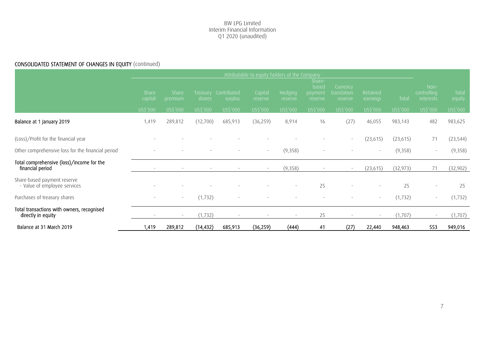## CONSOLIDATED STATEMENT OF CHANGES IN EQUITY (continued)

|                                                                  | Attributable to equity holders of the Company |                          |                          |                                 |                    |                    |                                                    |                                    |                      |           |                                         |                 |
|------------------------------------------------------------------|-----------------------------------------------|--------------------------|--------------------------|---------------------------------|--------------------|--------------------|----------------------------------------------------|------------------------------------|----------------------|-----------|-----------------------------------------|-----------------|
|                                                                  | <b>Share</b><br>capital                       | Share<br>premium         | shares                   | Treasury Contributed<br>surplus | Capital<br>reserve | Hedging<br>reserve | Share-<br>based<br>payment <sup>1</sup><br>reserve | Currency<br>translation<br>reserve | Retained<br>earnings | Total     | Non-<br>controlling<br><i>interests</i> | Total<br>equity |
|                                                                  | US\$'000                                      | US\$'000                 | US\$'000                 | US\$'000                        | US\$'000           | US\$'000           | US\$'000                                           | US\$'000                           | US\$'000             | US\$'000  | US\$'000                                | US\$'000        |
| Balance at 1 January 2019                                        | 1,419                                         | 289,812                  | (12,700)                 | 685,913                         | (36, 259)          | 8,914              | 16                                                 | (27)                               | 46,055               | 983,143   | 482                                     | 983,625         |
| (Loss)/Profit for the financial year                             |                                               |                          |                          |                                 |                    |                    |                                                    | $\sim$                             | (23, 615)            | (23, 615) | 71                                      | (23, 544)       |
| Other comprehensive loss for the financial period                |                                               |                          |                          |                                 | $\sim$             | (9,358)            |                                                    |                                    |                      | (9,358)   | $\sim$                                  | (9,358)         |
| Total comprehensive (loss)/income for the<br>financial period    |                                               | $\overline{\phantom{a}}$ | $\overline{\phantom{a}}$ | $\sim$                          | $\sim$             | (9,358)            | $\overline{\phantom{a}}$                           | $\sim$                             | (23, 615)            | (32, 973) | 71                                      | (32,902)        |
| Share-based payment reserve<br>- Value of employee services      |                                               |                          |                          |                                 |                    |                    | 25                                                 |                                    |                      | 25        |                                         | 25              |
| Purchases of treasury shares                                     |                                               | $\sim$                   | (1, 732)                 |                                 |                    |                    |                                                    |                                    |                      | (1, 732)  |                                         | (1, 732)        |
| Total transactions with owners, recognised<br>directly in equity |                                               |                          | (1, 732)                 | $\sim$                          | $\sim$             |                    | 25                                                 | $\overline{\phantom{a}}$           |                      | (1,707)   |                                         | (1,707)         |
| Balance at 31 March 2019                                         | 1,419                                         | 289,812                  | (14, 432)                | 685,913                         | (36, 259)          | (444)              | 41                                                 | (27)                               | 22,440               | 948,463   | 553                                     | 949,016         |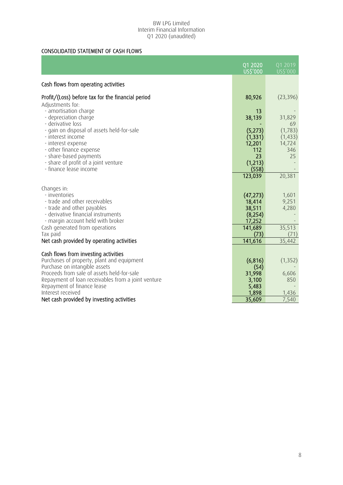## CONSOLIDATED STATEMENT OF CASH FLOWS

|                                                                             | 01 2020           | 01 2019        |
|-----------------------------------------------------------------------------|-------------------|----------------|
|                                                                             | US\$'000          | US\$'000       |
| Cash flows from operating activities                                        |                   |                |
| Profit/(Loss) before tax for the financial period                           | 80,926            | (23, 396)      |
| Adjustments for:                                                            |                   |                |
| - amortisation charge                                                       | 13                |                |
| - depreciation charge<br>- derivative loss                                  | 38,139            | 31,829<br>69   |
| - gain on disposal of assets held-for-sale                                  | (5,273)           | (1,783)        |
| - interest income                                                           | (1, 331)          | (1, 433)       |
| - interest expense<br>- other finance expense                               | 12,201<br>112     | 14,724<br>346  |
| - share-based payments                                                      | 23                | 25             |
| - share of profit of a joint venture                                        | (1,213)           |                |
| - finance lease income                                                      | (558)             |                |
|                                                                             | 123,039           | 20,381         |
| Changes in:                                                                 |                   |                |
| - inventories                                                               | (47, 273)         | 1,601          |
| - trade and other receivables                                               | 18,414            | 9,251          |
| - trade and other payables<br>- derivative financial instruments            | 38,511<br>(8,254) | 4,280          |
| - margin account held with broker                                           | 17,252            |                |
| Cash generated from operations                                              | 141,689           | 35,513         |
| Tax paid                                                                    | (73)<br>141,616   | (71)<br>35,442 |
| Net cash provided by operating activities                                   |                   |                |
| Cash flows from investing activities                                        |                   |                |
| Purchases of property, plant and equipment                                  | (6, 816)          | (1, 352)       |
| Purchase on intangible assets<br>Proceeds from sale of assets held-for-sale | (54)              |                |
| Repayment of loan receivables from a joint venture                          | 31,998<br>3,100   | 6,606<br>850   |
| Repayment of finance lease                                                  | 5,483             |                |
| Interest received                                                           | 1,898             | 1,436          |
| Net cash provided by investing activities                                   | 35,609            | 7,540          |